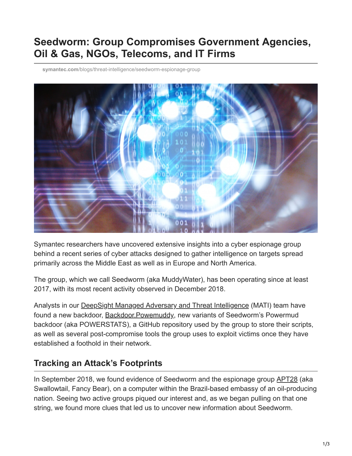# **Seedworm: Group Compromises Government Agencies, Oil & Gas, NGOs, Telecoms, and IT Firms**

**symantec.com**[/blogs/threat-intelligence/seedworm-espionage-group](https://www.symantec.com/blogs/threat-intelligence/seedworm-espionage-group)



Symantec researchers have uncovered extensive insights into a cyber espionage group behind a recent series of cyber attacks designed to gather intelligence on targets spread primarily across the Middle East as well as in Europe and North America.

The group, which we call Seedworm (aka MuddyWater), has been operating since at least 2017, with its most recent activity observed in December 2018.

Analysts in our [DeepSight Managed Adversary and Threat Intelligence](https://www.symantec.com/services/cyber-security-services/deepsight-intelligence/adversary) (MATI) team have found a new backdoor, [Backdoor.Powemuddy](https://www.symantec.com/security-center/writeup/2018-120306-2744-99), new variants of Seedworm's Powermud backdoor (aka POWERSTATS), a GitHub repository used by the group to store their scripts, as well as several post-compromise tools the group uses to exploit victims once they have established a foothold in their network.

#### **Tracking an Attack's Footprints**

In September 2018, we found evidence of Seedworm and the espionage group **APT28** (aka Swallowtail, Fancy Bear), on a computer within the Brazil-based embassy of an oil-producing nation. Seeing two active groups piqued our interest and, as we began pulling on that one string, we found more clues that led us to uncover new information about Seedworm.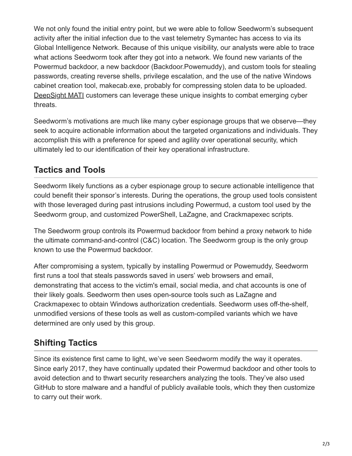We not only found the initial entry point, but we were able to follow Seedworm's subsequent activity after the initial infection due to the vast telemetry Symantec has access to via its Global Intelligence Network. Because of this unique visibility, our analysts were able to trace what actions Seedworm took after they got into a network. We found new variants of the Powermud backdoor, a new backdoor (Backdoor.Powemuddy), and custom tools for stealing passwords, creating reverse shells, privilege escalation, and the use of the native Windows cabinet creation tool, makecab.exe, probably for compressing stolen data to be uploaded. [DeepSight MATI](https://www.symantec.com/services/cyber-security-services/deepsight-intelligence/adversary) customers can leverage these unique insights to combat emerging cyber threats.

Seedworm's motivations are much like many cyber espionage groups that we observe—they seek to acquire actionable information about the targeted organizations and individuals. They accomplish this with a preference for speed and agility over operational security, which ultimately led to our identification of their key operational infrastructure.

### **Tactics and Tools**

Seedworm likely functions as a cyber espionage group to secure actionable intelligence that could benefit their sponsor's interests. During the operations, the group used tools consistent with those leveraged during past intrusions including Powermud, a custom tool used by the Seedworm group, and customized PowerShell, LaZagne, and Crackmapexec scripts.

The Seedworm group controls its Powermud backdoor from behind a proxy network to hide the ultimate command-and-control (C&C) location. The Seedworm group is the only group known to use the Powermud backdoor.

After compromising a system, typically by installing Powermud or Powemuddy, Seedworm first runs a tool that steals passwords saved in users' web browsers and email, demonstrating that access to the victim's email, social media, and chat accounts is one of their likely goals. Seedworm then uses open-source tools such as LaZagne and Crackmapexec to obtain Windows authorization credentials. Seedworm uses off-the-shelf, unmodified versions of these tools as well as custom-compiled variants which we have determined are only used by this group.

## **Shifting Tactics**

Since its existence first came to light, we've seen Seedworm modify the way it operates. Since early 2017, they have continually updated their Powermud backdoor and other tools to avoid detection and to thwart security researchers analyzing the tools. They've also used GitHub to store malware and a handful of publicly available tools, which they then customize to carry out their work.